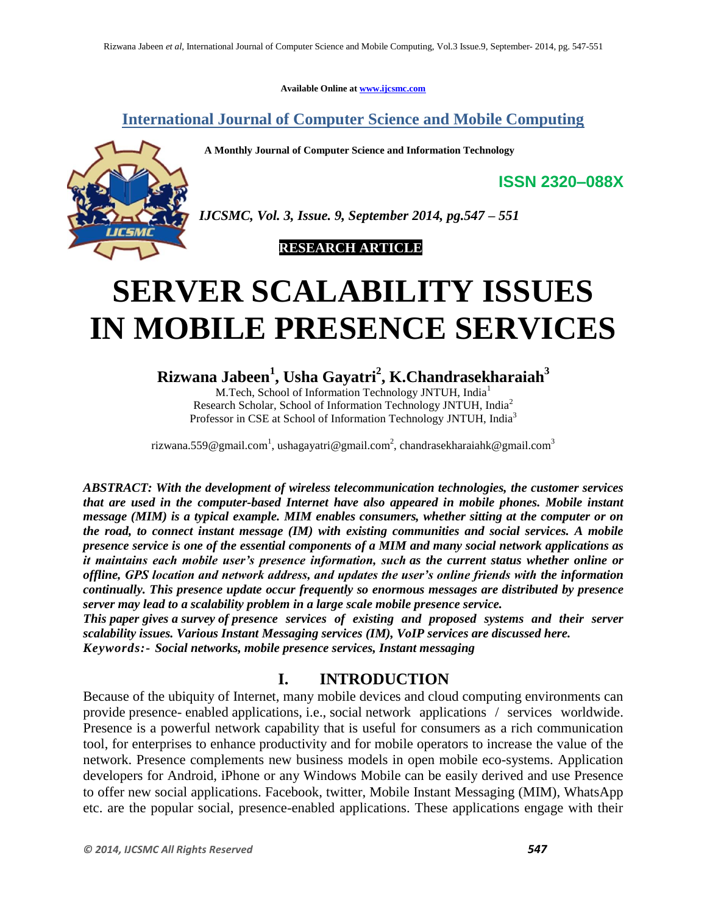**Available Online at www.ijcsmc.com**

**International Journal of Computer Science and Mobile Computing**

 **A Monthly Journal of Computer Science and Information Technology**



*IJCSMC, Vol. 3, Issue. 9, September 2014, pg.547 – 551*

 **RESEARCH ARTICLE**

# **SERVER SCALABILITY ISSUES IN MOBILE PRESENCE SERVICES**

**Rizwana Jabeen<sup>1</sup> , Usha Gayatri<sup>2</sup> , K.Chandrasekharaiah<sup>3</sup>**

M.Tech, School of Information Technology JNTUH, India<sup>1</sup> Research Scholar, School of Information Technology JNTUH, India<sup>2</sup> Professor in CSE at School of Information Technology JNTUH, India<sup>3</sup>

rizwana.559@gmail.com $^{\rm l}$ , ushagayatri@gmail.com $^{\rm 2}$ , chandrasekharaiahk@gmail.com $^{\rm 3}$ 

*ABSTRACT: With the development of wireless telecommunication technologies, the customer services that are used in the computer-based Internet have also appeared in mobile phones. Mobile instant message (MIM) is a typical example. MIM enables consumers, whether sitting at the computer or on the road, to connect instant message (IM) with existing communities and social services. A mobile presence service is one of the essential components of a MIM and many social network applications as it maintains each mobile user's presence information, such as the current status whether online or offline, GPS location and network address, and updates the user's online friends with the information continually. This presence update occur frequently so enormous messages are distributed by presence server may lead to a scalability problem in a large scale mobile presence service.*

*This paper gives a survey of presence services of existing and proposed systems and their server scalability issues. Various Instant Messaging services (IM), VoIP services are discussed here. Keywords:- Social networks, mobile presence services, Instant messaging*

## **I. INTRODUCTION**

Because of the ubiquity of Internet, many mobile devices and cloud computing environments can provide presence- enabled applications, i.e., social network applications / services worldwide. Presence is a powerful network capability that is useful for consumers as a rich communication tool, for enterprises to enhance productivity and for mobile operators to increase the value of the network. Presence complements new business models in open mobile eco-systems. Application developers for Android, iPhone or any Windows Mobile can be easily derived and use Presence to offer new social applications. Facebook, twitter, Mobile Instant Messaging (MIM), WhatsApp etc. are the popular social, presence-enabled applications. These applications engage with their

**ISSN 2320–088X**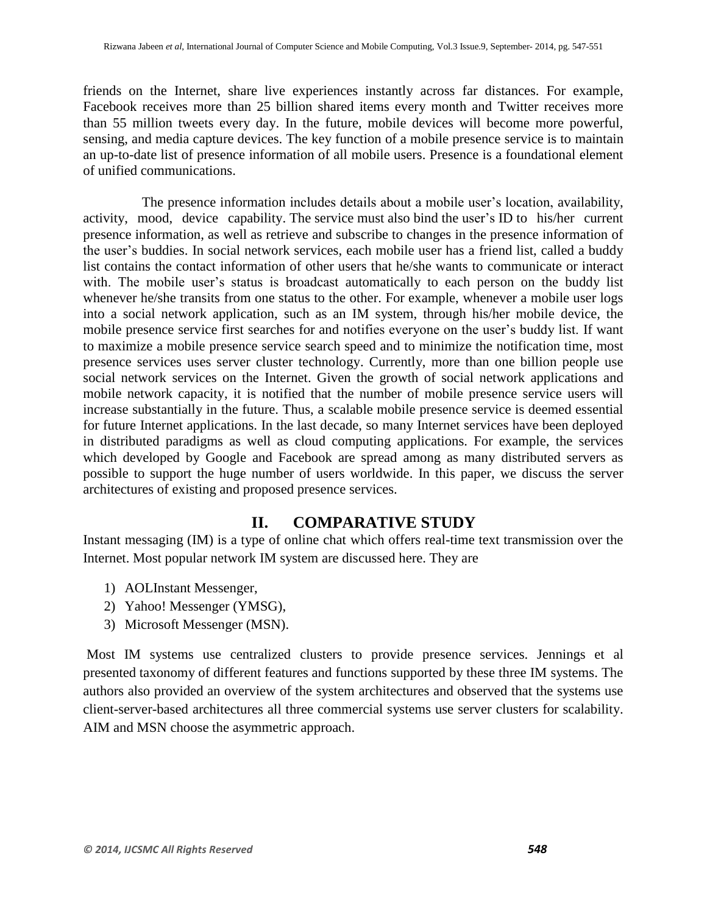friends on the Internet, share live experiences instantly across far distances. For example, Facebook receives more than 25 billion shared items every month and Twitter receives more than 55 million tweets every day. In the future, mobile devices will become more powerful, sensing, and media capture devices. The key function of a mobile presence service is to maintain an up-to-date list of presence information of all mobile users. Presence is a foundational element of unified communications.

 The presence information includes details about a mobile user's location, availability, activity, mood, device capability. The service must also bind the user's ID to his/her current presence information, as well as retrieve and subscribe to changes in the presence information of the user's buddies. In social network services, each mobile user has a friend list, called a buddy list contains the contact information of other users that he/she wants to communicate or interact with. The mobile user's status is broadcast automatically to each person on the buddy list whenever he/she transits from one status to the other. For example, whenever a mobile user logs into a social network application, such as an IM system, through his/her mobile device, the mobile presence service first searches for and notifies everyone on the user's buddy list. If want to maximize a mobile presence service search speed and to minimize the notification time, most presence services uses server cluster technology. Currently, more than one billion people use social network services on the Internet. Given the growth of social network applications and mobile network capacity, it is notified that the number of mobile presence service users will increase substantially in the future. Thus, a scalable mobile presence service is deemed essential for future Internet applications. In the last decade, so many Internet services have been deployed in distributed paradigms as well as cloud computing applications. For example, the services which developed by Google and Facebook are spread among as many distributed servers as possible to support the huge number of users worldwide. In this paper, we discuss the server architectures of existing and proposed presence services.

## **II. COMPARATIVE STUDY**

Instant messaging (IM) is a type of online chat which offers real-time text transmission over the Internet. Most popular network IM system are discussed here. They are

- 1) AOLInstant Messenger,
- 2) Yahoo! Messenger (YMSG),
- 3) Microsoft Messenger (MSN).

Most IM systems use centralized clusters to provide presence services. Jennings et al presented taxonomy of different features and functions supported by these three IM systems. The authors also provided an overview of the system architectures and observed that the systems use client-server-based architectures all three commercial systems use server clusters for scalability. AIM and MSN choose the asymmetric approach.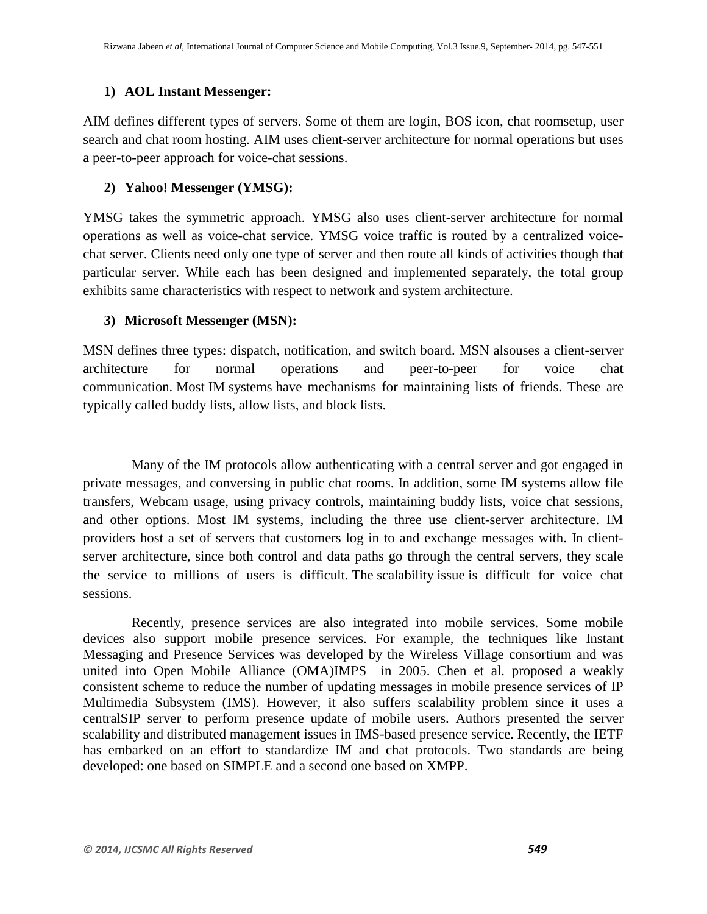### **1) AOL Instant Messenger:**

AIM defines different types of servers. Some of them are login, BOS icon, chat roomsetup, user search and chat room hosting. AIM uses client-server architecture for normal operations but uses a peer-to-peer approach for voice-chat sessions.

## **2) Yahoo! Messenger (YMSG):**

YMSG takes the symmetric approach. YMSG also uses client-server architecture for normal operations as well as voice-chat service. YMSG voice traffic is routed by a centralized voicechat server. Clients need only one type of server and then route all kinds of activities though that particular server. While each has been designed and implemented separately, the total group exhibits same characteristics with respect to network and system architecture.

## **3) Microsoft Messenger (MSN):**

MSN defines three types: dispatch, notification, and switch board. MSN alsouses a client-server architecture for normal operations and peer-to-peer for voice chat communication. Most IM systems have mechanisms for maintaining lists of friends. These are typically called buddy lists, allow lists, and block lists.

 Many of the IM protocols allow authenticating with a central server and got engaged in private messages, and conversing in public chat rooms. In addition, some IM systems allow file transfers, Webcam usage, using privacy controls, maintaining buddy lists, voice chat sessions, and other options. Most IM systems, including the three use client-server architecture. IM providers host a set of servers that customers log in to and exchange messages with. In clientserver architecture, since both control and data paths go through the central servers, they scale the service to millions of users is difficult. The scalability issue is difficult for voice chat sessions.

 Recently, presence services are also integrated into mobile services. Some mobile devices also support mobile presence services. For example, the techniques like Instant Messaging and Presence Services was developed by the Wireless Village consortium and was united into Open Mobile Alliance (OMA)IMPS in 2005. Chen et al. proposed a weakly consistent scheme to reduce the number of updating messages in mobile presence services of IP Multimedia Subsystem (IMS). However, it also suffers scalability problem since it uses a centralSIP server to perform presence update of mobile users. Authors presented the server scalability and distributed management issues in IMS-based presence service. Recently, the IETF has embarked on an effort to standardize IM and chat protocols. Two standards are being developed: one based on SIMPLE and a second one based on XMPP.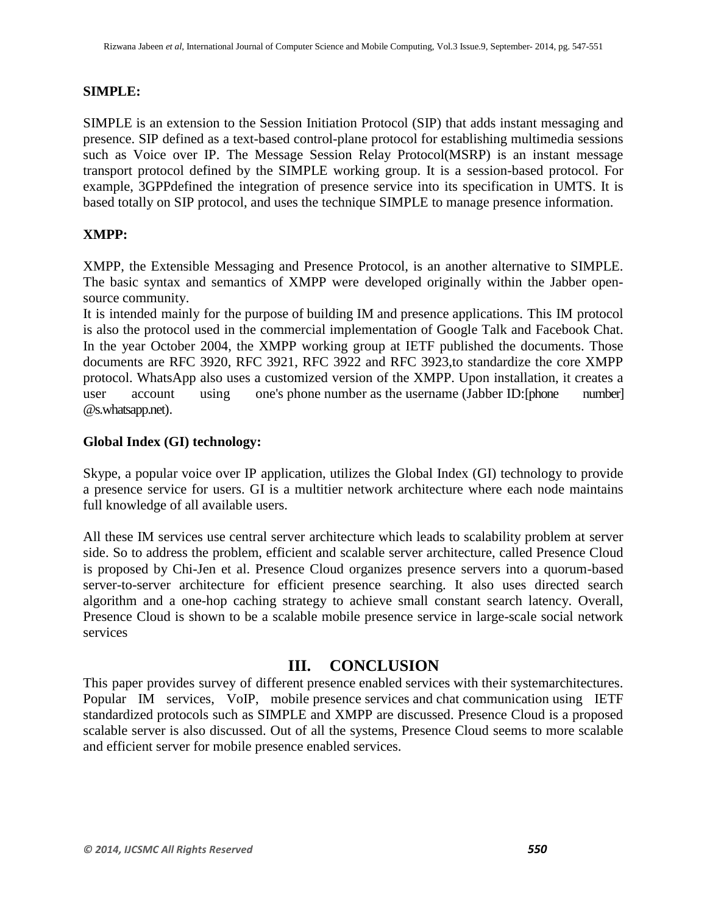#### **SIMPLE:**

SIMPLE is an extension to the Session Initiation Protocol (SIP) that adds instant messaging and presence. SIP defined as a text-based control-plane protocol for establishing multimedia sessions such as Voice over IP. The Message Session Relay Protocol(MSRP) is an instant message transport protocol defined by the SIMPLE working group. It is a session-based protocol. For example, 3GPPdefined the integration of presence service into its specification in UMTS. It is based totally on SIP protocol, and uses the technique SIMPLE to manage presence information.

#### **XMPP:**

XMPP, the Extensible Messaging and Presence Protocol, is an another alternative to SIMPLE. The basic syntax and semantics of XMPP were developed originally within the Jabber opensource community.

It is intended mainly for the purpose of building IM and presence applications. This IM protocol is also the protocol used in the commercial implementation of Google Talk and Facebook Chat. In the year October 2004, the XMPP working group at IETF published the documents. Those documents are RFC 3920, RFC 3921, RFC 3922 and RFC 3923,to standardize the core XMPP protocol. WhatsApp also uses a customized version of the XMPP. Upon installation, it creates a user account using one's phone number as the username (Jabber ID:[phone number] @s.whatsapp.net).

#### **Global Index (GI) technology:**

Skype, a popular voice over IP application, utilizes the Global Index (GI) technology to provide a presence service for users. GI is a multitier network architecture where each node maintains full knowledge of all available users.

All these IM services use central server architecture which leads to scalability problem at server side. So to address the problem, efficient and scalable server architecture, called Presence Cloud is proposed by Chi-Jen et al. Presence Cloud organizes presence servers into a quorum-based server-to-server architecture for efficient presence searching. It also uses directed search algorithm and a one-hop caching strategy to achieve small constant search latency. Overall, Presence Cloud is shown to be a scalable mobile presence service in large-scale social network services

## **III. CONCLUSION**

This paper provides survey of different presence enabled services with their systemarchitectures. Popular IM services, VoIP, mobile presence services and chat communication using IETF standardized protocols such as SIMPLE and XMPP are discussed. Presence Cloud is a proposed scalable server is also discussed. Out of all the systems, Presence Cloud seems to more scalable and efficient server for mobile presence enabled services.